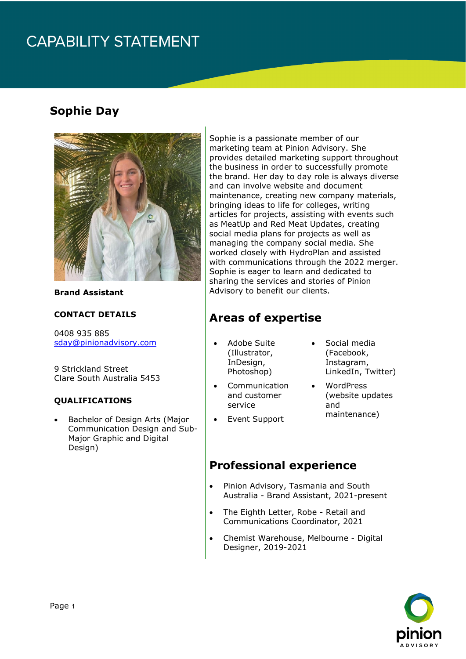## **CAPABILITY STATEMENT**

## **Sophie Day**



**Brand Assistant**

#### **CONTACT DETAILS**

0408 935 885 [sday@pinionadvisory.com](mailto:sday@pinionadvisory.com)

9 Strickland Street Clare South Australia 5453

#### **QUALIFICATIONS**

• Bachelor of Design Arts (Major Communication Design and Sub-Major Graphic and Digital Design)

Sophie is a passionate member of our marketing team at Pinion Advisory. She provides detailed marketing support throughout the business in order to successfully promote the brand. Her day to day role is always diverse and can involve website and document maintenance, creating new company materials, bringing ideas to life for colleges, writing articles for projects, assisting with events such as MeatUp and Red Meat Updates, creating social media plans for projects as well as managing the company social media. She worked closely with HydroPlan and assisted with communications through the 2022 merger. Sophie is eager to learn and dedicated to sharing the services and stories of Pinion Advisory to benefit our clients.

### **Areas of expertise**

- Adobe Suite (Illustrator, InDesign, Photoshop)
- Communication and customer service
- Event Support

### (Facebook, Instagram, LinkedIn, Twitter)

• Social media

- WordPress (website updates and maintenance)
- 

#### **Professional experience**

- Pinion Advisory, Tasmania and South Australia - Brand Assistant, 2021-present
- The Eighth Letter, Robe Retail and Communications Coordinator, 2021
- Chemist Warehouse, Melbourne Digital Designer, 2019-2021